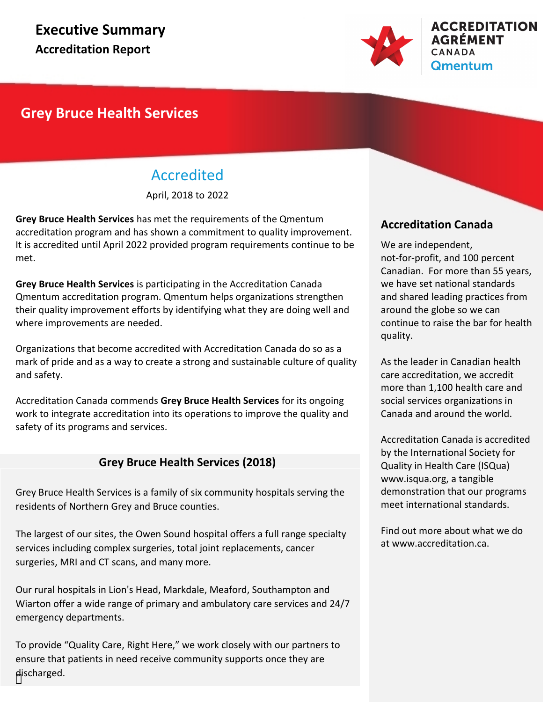

### **Grey Bruce Health Services**

## Accredited

April, 2018 to 2022

**Grey Bruce Health Services** has met the requirements of the Qmentum accreditation program and has shown a commitment to quality improvement. It is accredited until April 2022 provided program requirements continue to be met.

**Grey Bruce Health Services** is participating in the Accreditation Canada Qmentum accreditation program. Qmentum helps organizations strengthen their quality improvement efforts by identifying what they are doing well and where improvements are needed.

Organizations that become accredited with Accreditation Canada do so as a mark of pride and as a way to create a strong and sustainable culture of quality and safety.

Accreditation Canada commends **Grey Bruce Health Services** for its ongoing work to integrate accreditation into its operations to improve the quality and safety of its programs and services.

### **Grey Bruce Health Services (2018)**

Grey Bruce Health Services is a family of six community hospitals serving the residents of Northern Grey and Bruce counties.

The largest of our sites, the Owen Sound hospital offers a full range specialty services including complex surgeries, total joint replacements, cancer surgeries, MRI and CT scans, and many more.

Our rural hospitals in Lion's Head, Markdale, Meaford, Southampton and Wiarton offer a wide range of primary and ambulatory care services and 24/7 emergency departments.

To provide "Quality Care, Right Here," we work closely with our partners to ensure that patients in need receive community supports once they are discharged.

### **Accreditation Canada**

We are independent, not-for-profit, and 100 percent Canadian. For more than 55 years, we have set national standards and shared leading practices from around the globe so we can continue to raise the bar for health quality.

As the leader in Canadian health care accreditation, we accredit more than 1,100 health care and social services organizations in Canada and around the world.

Accreditation Canada is accredited by the International Society for Quality in Health Care (ISQua) www.isqua.org, a tangible demonstration that our programs meet international standards.

Find out more about what we do at www.accreditation.ca.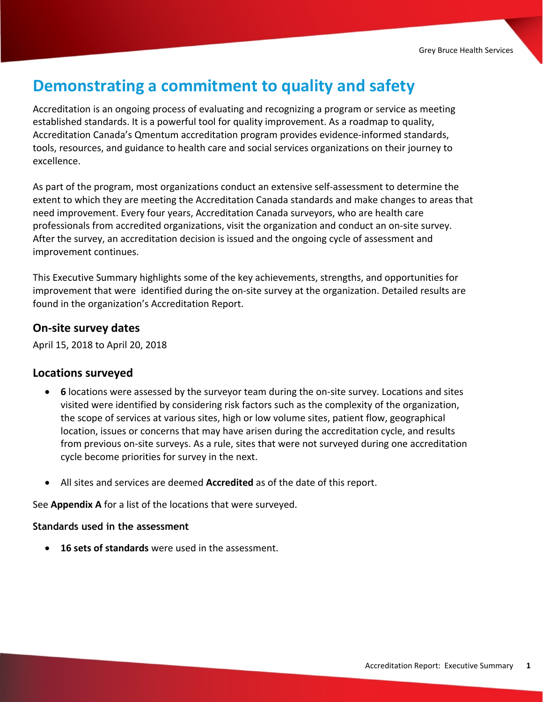## **Demonstrating a commitment to quality and safety**

Accreditation is an ongoing process of evaluating and recognizing a program or service as meeting established standards. It is a powerful tool for quality improvement. As a roadmap to quality, Accreditation Canada's Qmentum accreditation program provides evidence-informed standards, tools, resources, and guidance to health care and social services organizations on their journey to excellence.

As part of the program, most organizations conduct an extensive self-assessment to determine the extent to which they are meeting the Accreditation Canada standards and make changes to areas that need improvement. Every four years, Accreditation Canada surveyors, who are health care professionals from accredited organizations, visit the organization and conduct an on-site survey. After the survey, an accreditation decision is issued and the ongoing cycle of assessment and improvement continues.

This Executive Summary highlights some of the key achievements, strengths, and opportunities for improvement that were identified during the on-site survey at the organization. Detailed results are found in the organization's Accreditation Report.

#### **On-site survey dates**

April 15, 2018 to April 20, 2018

#### **Locations surveyed**

- · **6** locations were assessed by the surveyor team during the on-site survey. Locations and sites visited were identified by considering risk factors such as the complexity of the organization, the scope of services at various sites, high or low volume sites, patient flow, geographical location, issues or concerns that may have arisen during the accreditation cycle, and results from previous on-site surveys. As a rule, sites that were not surveyed during one accreditation cycle become priorities for survey in the next.
- · All sites and services are deemed **Accredited** as of the date of this report.

See **Appendix A** for a list of the locations that were surveyed.

#### **Standards used in the assessment**

· **16 sets of standards** were used in the assessment.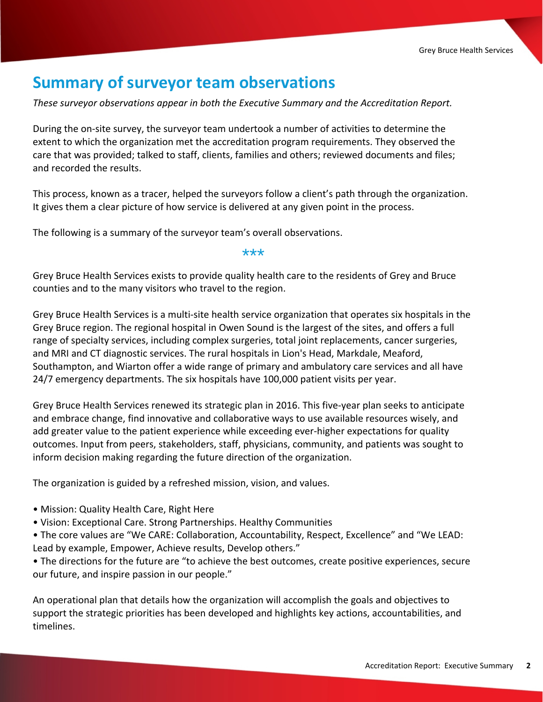## **Summary of surveyor team observations**

*These surveyor observations appear in both the Executive Summary and the Accreditation Report.*

During the on-site survey, the surveyor team undertook a number of activities to determine the extent to which the organization met the accreditation program requirements. They observed the care that was provided; talked to staff, clients, families and others; reviewed documents and files; and recorded the results.

This process, known as a tracer, helped the surveyors follow a client's path through the organization. It gives them a clear picture of how service is delivered at any given point in the process.

The following is a summary of the surveyor team's overall observations.

\*\*\*

Grey Bruce Health Services exists to provide quality health care to the residents of Grey and Bruce counties and to the many visitors who travel to the region.

Grey Bruce Health Services is a multi-site health service organization that operates six hospitals in the Grey Bruce region. The regional hospital in Owen Sound is the largest of the sites, and offers a full range of specialty services, including complex surgeries, total joint replacements, cancer surgeries, and MRI and CT diagnostic services. The rural hospitals in Lion's Head, Markdale, Meaford, Southampton, and Wiarton offer a wide range of primary and ambulatory care services and all have 24/7 emergency departments. The six hospitals have 100,000 patient visits per year.

Grey Bruce Health Services renewed its strategic plan in 2016. This five-year plan seeks to anticipate and embrace change, find innovative and collaborative ways to use available resources wisely, and add greater value to the patient experience while exceeding ever-higher expectations for quality outcomes. Input from peers, stakeholders, staff, physicians, community, and patients was sought to inform decision making regarding the future direction of the organization.

The organization is guided by a refreshed mission, vision, and values.

- Mission: Quality Health Care, Right Here
- Vision: Exceptional Care. Strong Partnerships. Healthy Communities
- The core values are "We CARE: Collaboration, Accountability, Respect, Excellence" and "We LEAD: Lead by example, Empower, Achieve results, Develop others."

• The directions for the future are "to achieve the best outcomes, create positive experiences, secure our future, and inspire passion in our people."

An operational plan that details how the organization will accomplish the goals and objectives to support the strategic priorities has been developed and highlights key actions, accountabilities, and timelines.

Staff at the hospital appear to be compassionate, professional, and committed to providing patient-

program/unit. The organization maintains a wide range of services for its communities. Many of the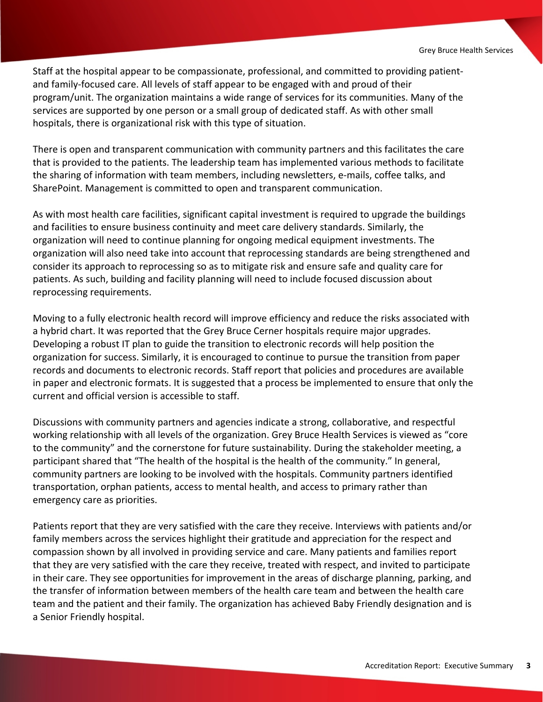Staff at the hospital appear to be compassionate, professional, and committed to providing patientand family-focused care. All levels of staff appear to be engaged with and proud of their program/unit. The organization maintains a wide range of services for its communities. Many of the services are supported by one person or a small group of dedicated staff. As with other small hospitals, there is organizational risk with this type of situation.

There is open and transparent communication with community partners and this facilitates the care that is provided to the patients. The leadership team has implemented various methods to facilitate the sharing of information with team members, including newsletters, e-mails, coffee talks, and SharePoint. Management is committed to open and transparent communication.

As with most health care facilities, significant capital investment is required to upgrade the buildings and facilities to ensure business continuity and meet care delivery standards. Similarly, the organization will need to continue planning for ongoing medical equipment investments. The organization will also need take into account that reprocessing standards are being strengthened and consider its approach to reprocessing so as to mitigate risk and ensure safe and quality care for patients. As such, building and facility planning will need to include focused discussion about reprocessing requirements.

Moving to a fully electronic health record will improve efficiency and reduce the risks associated with a hybrid chart. It was reported that the Grey Bruce Cerner hospitals require major upgrades. Developing a robust IT plan to guide the transition to electronic records will help position the organization for success. Similarly, it is encouraged to continue to pursue the transition from paper records and documents to electronic records. Staff report that policies and procedures are available in paper and electronic formats. It is suggested that a process be implemented to ensure that only the current and official version is accessible to staff.

Discussions with community partners and agencies indicate a strong, collaborative, and respectful working relationship with all levels of the organization. Grey Bruce Health Services is viewed as "core to the community" and the cornerstone for future sustainability. During the stakeholder meeting, a participant shared that "The health of the hospital is the health of the community." In general, community partners are looking to be involved with the hospitals. Community partners identified transportation, orphan patients, access to mental health, and access to primary rather than emergency care as priorities.

Patients report that they are very satisfied with the care they receive. Interviews with patients and/or family members across the services highlight their gratitude and appreciation for the respect and compassion shown by all involved in providing service and care. Many patients and families report that they are very satisfied with the care they receive, treated with respect, and invited to participate in their care. They see opportunities for improvement in the areas of discharge planning, parking, and the transfer of information between members of the health care team and between the health care team and the patient and their family. The organization has achieved Baby Friendly designation and is a Senior Friendly hospital.

compassionate in the delivery of care and services. Staff have a knowledge of ethics, emergency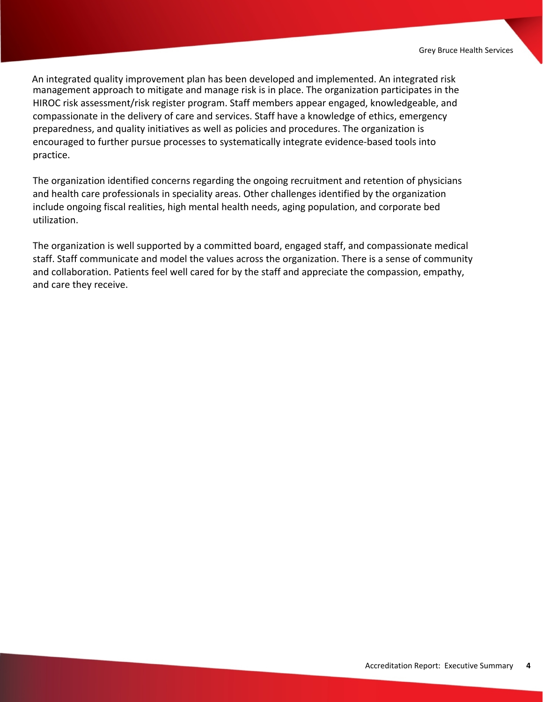management approach to mitigate and manage risk is in place. The organization participates in the management approach to mitigate and manage risk is in place. The organization participates in the HIROC risk assessment/risk register program. Staff members appear engaged, knowledgeable, and HIROC risk assessment/risk register program. Staff members appear engaged, knowledgeable, and compassionate in the delivery of care and services. Staff have a knowledge of ethics, emergency compassionate in the delivery of care and services. Staff have a knowledge of ethics, emergency preparedness, and quality initiatives as well as policies and procedures. The organization is preparedness, and quality initiatives as well as policies and procedures. The organization is encouraged to further pursue processes to systematically integrate evidence-based tools into encouraged to further pursue processes to systematically integrate evidence-based tools into practice. practice. An integrated quality improvement plan has been developed and implemented. An integrated risk

The organization identified concerns regarding the ongoing recruitment and retention of physicians The organization identified concerns regarding the ongoing recruitment and retention of physicians and health care professionals in speciality areas. Other challenges identified by the organization and health care professionals in speciality areas. Other challenges identified by the organization include ongoing fiscal realities, high mental health needs, aging population, and corporate bed include ongoing fiscal realities, high mental health needs, aging population, and corporate bed utilization. utilization.

The organization is well supported by a committed board, engaged staff, and compassionate medical The organization is well supported by a committed board, engaged staff, and compassionate medical staff. Staff communicate and model the values across the organization. There is a sense of community staff. Staff communicate and model the values across the organization. There is a sense of community and collaboration. Patients feel well cared for by the staff and appreciate the compassion, empathy, and collaboration. Patients feel well cared for by the staff and appreciate the compassion, empathy, and care they receive. and care they receive.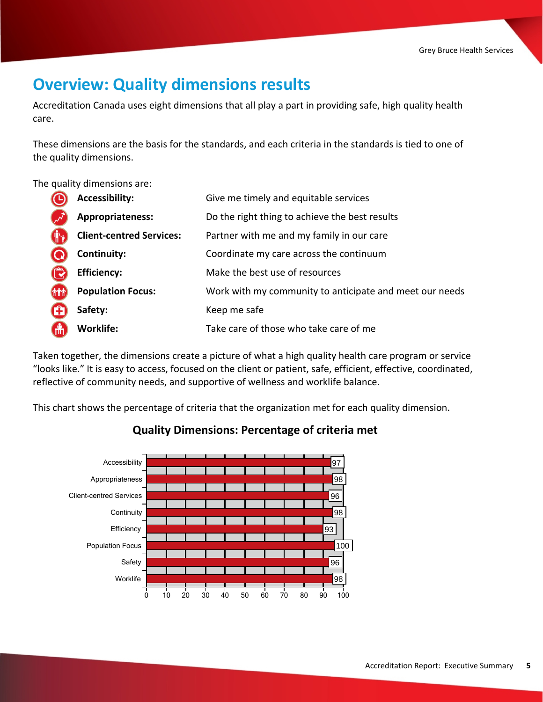# **Overview: Quality dimensions results**

Accreditation Canada uses eight dimensions that all play a part in providing safe, high quality health care.

These dimensions are the basis for the standards, and each criteria in the standards is tied to one of the quality dimensions.

The quality dimensions are:

|            | <b>Accessibility:</b>           | Give me timely and equitable services                   |
|------------|---------------------------------|---------------------------------------------------------|
|            | Appropriateness:                | Do the right thing to achieve the best results          |
|            | <b>Client-centred Services:</b> | Partner with me and my family in our care               |
|            | Continuity:                     | Coordinate my care across the continuum                 |
|            | <b>Efficiency:</b>              | Make the best use of resources                          |
| <b>THT</b> | <b>Population Focus:</b>        | Work with my community to anticipate and meet our needs |
| Ĥ          | Safety:                         | Keep me safe                                            |
| 6          | <b>Worklife:</b>                | Take care of those who take care of me                  |

Taken together, the dimensions create a picture of what a high quality health care program or service "looks like." It is easy to access, focused on the client or patient, safe, efficient, effective, coordinated, reflective of community needs, and supportive of wellness and worklife balance.

This chart shows the percentage of criteria that the organization met for each quality dimension.



### **Quality Dimensions: Percentage of criteria met**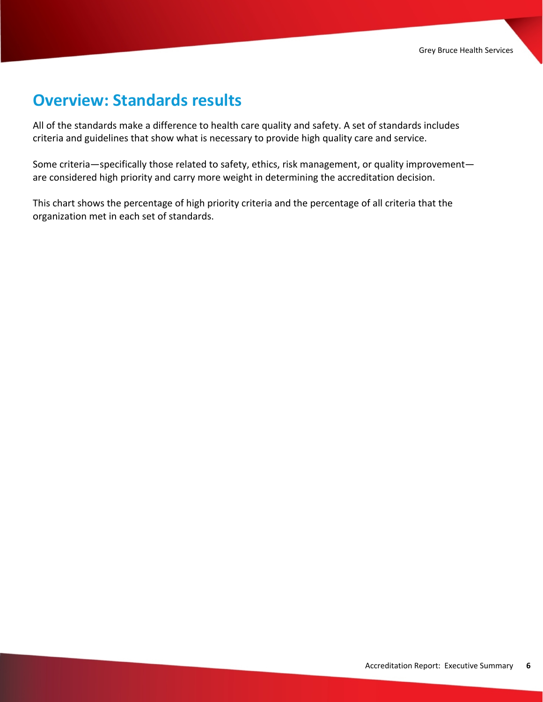## **Overview: Standards results**

All of the standards make a difference to health care quality and safety. A set of standards includes criteria and guidelines that show what is necessary to provide high quality care and service.

Some criteria—specifically those related to safety, ethics, risk management, or quality improvement are considered high priority and carry more weight in determining the accreditation decision.

This chart shows the percentage of high priority criteria and the percentage of all criteria that the organization met in each set of standards.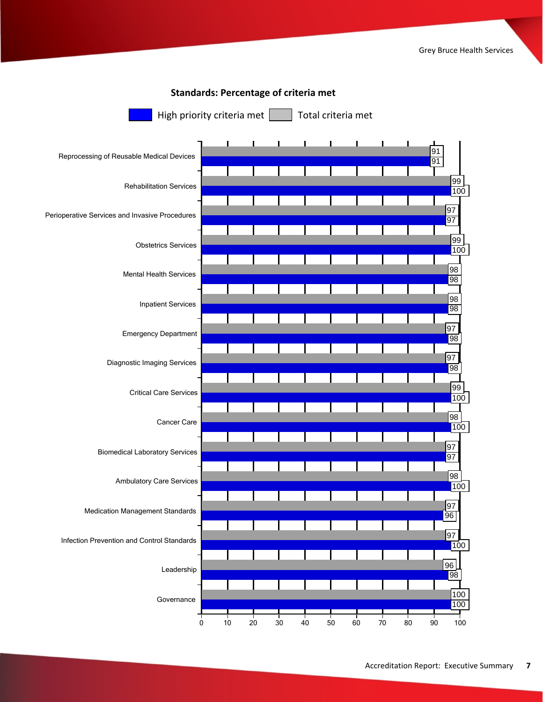

### **Standards: Percentage of criteria met**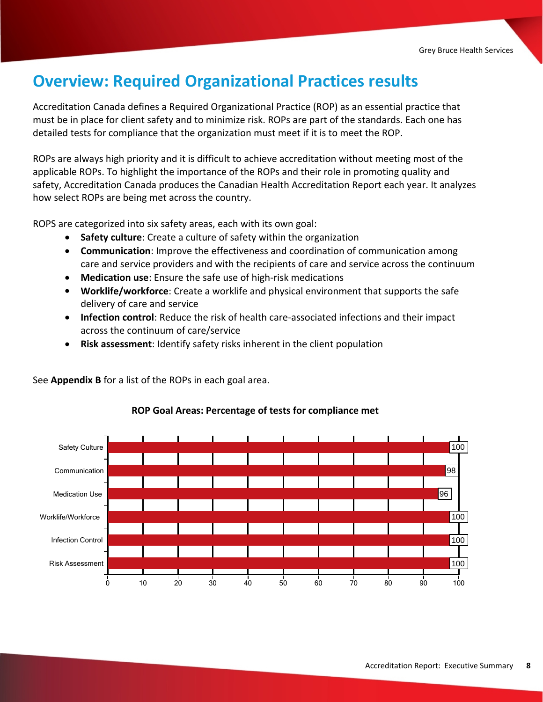## **Overview: Required Organizational Practices results**

Accreditation Canada defines a Required Organizational Practice (ROP) as an essential practice that must be in place for client safety and to minimize risk. ROPs are part of the standards. Each one has detailed tests for compliance that the organization must meet if it is to meet the ROP.

ROPs are always high priority and it is difficult to achieve accreditation without meeting most of the applicable ROPs. To highlight the importance of the ROPs and their role in promoting quality and safety, Accreditation Canada produces the Canadian Health Accreditation Report each year. It analyzes how select ROPs are being met across the country.

ROPS are categorized into six safety areas, each with its own goal:

See **Appendix B** for a list of the ROPs in each goal area.

- · **Safety culture**: Create a culture of safety within the organization
- · **Communication**: Improve the effectiveness and coordination of communication among care and service providers and with the recipients of care and service across the continuum
- · **Medication use**: Ensure the safe use of high-risk medications
- · **Worklife/workforce**: Create a worklife and physical environment that supports the safe delivery of care and service
- · **Infection control**: Reduce the risk of health care-associated infections and their impact across the continuum of care/service
- · **Risk assessment**: Identify safety risks inherent in the client population

Risk Assessment Infection Control Worklife/Workforce Medication Use Communication Safety Culture 0 10 20 30 40 50 60 70 80 90 100 96 98

#### **ROP Goal Areas: Percentage of tests for compliance met**

100

100

100

100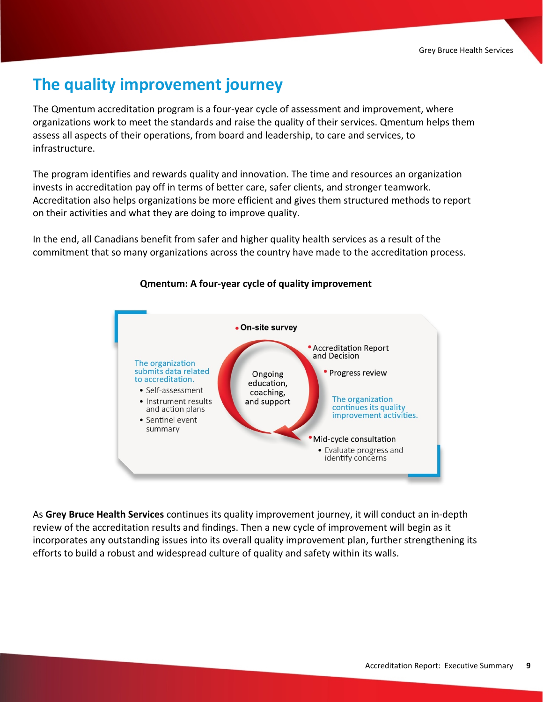# **The quality improvement journey**

The Qmentum accreditation program is a four-year cycle of assessment and improvement, where organizations work to meet the standards and raise the quality of their services. Qmentum helps them assess all aspects of their operations, from board and leadership, to care and services, to infrastructure.

The program identifies and rewards quality and innovation. The time and resources an organization invests in accreditation pay off in terms of better care, safer clients, and stronger teamwork. Accreditation also helps organizations be more efficient and gives them structured methods to report on their activities and what they are doing to improve quality.

In the end, all Canadians benefit from safer and higher quality health services as a result of the commitment that so many organizations across the country have made to the accreditation process.



#### **Qmentum: A four-year cycle of quality improvement**

As **Grey Bruce Health Services** continues its quality improvement journey, it will conduct an in-depth review of the accreditation results and findings. Then a new cycle of improvement will begin as it incorporates any outstanding issues into its overall quality improvement plan, further strengthening its efforts to build a robust and widespread culture of quality and safety within its walls.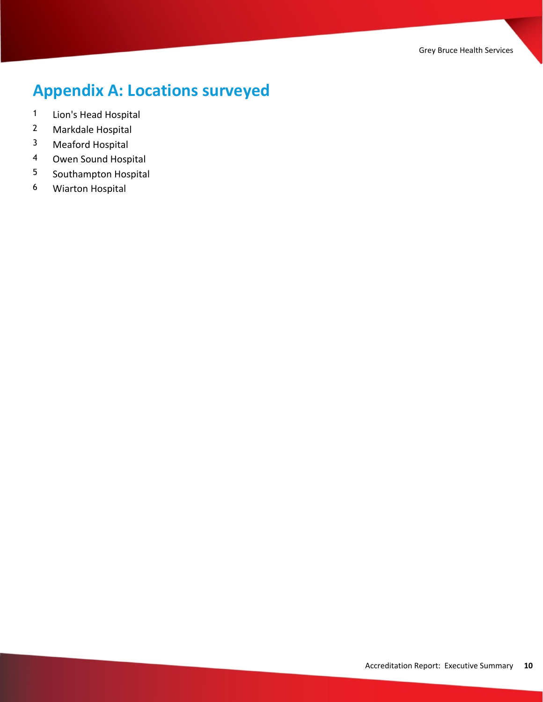Grey Bruce Health Services

# **Appendix A: Locations surveyed**

- Lion's Head Hospital
- Markdale Hospital
- Meaford Hospital
- Owen Sound Hospital
- Southampton Hospital
- Wiarton Hospital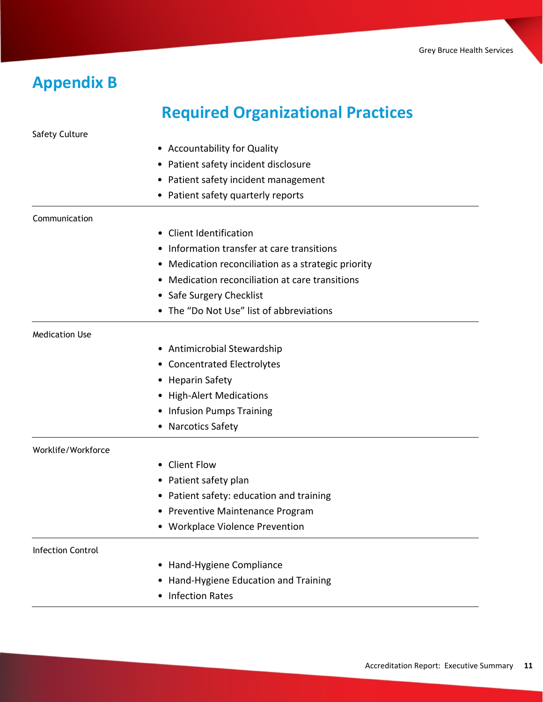### **Appendix B**

Safety Culture

# **Required Organizational Practices**

• Accountability for Quality

Communication • Client Identification • Information transfer at care transitions • Medication reconciliation as a strategic priority • Medication reconciliation at care transitions • Safe Surgery Checklist • The "Do Not Use" list of abbreviations Medication Use • Antimicrobial Stewardship • Concentrated Electrolytes • Heparin Safety • High-Alert Medications • Infusion Pumps Training • Narcotics Safety Worklife/Workforce • Client Flow • Patient safety plan • Patient safety: education and training • Preventive Maintenance Program • Workplace Violence Prevention Infection Control • Hand-Hygiene Compliance • Hand-Hygiene Education and Training • Infection Rates • Patient safety incident disclosure • Patient safety incident management • Patient safety quarterly reports